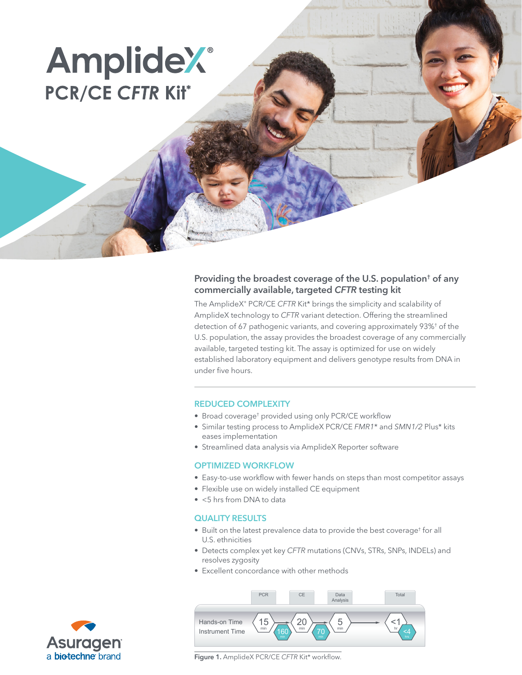# **AmplideX**® **PCR/CE CFTR Kit\***

## Providing the broadest coverage of the U.S. population† of any commercially available, targeted *CFTR* testing kit

The AmplideX® PCR/CE *CFTR* Kit\* brings the simplicity and scalability of AmplideX technology to *CFTR* variant detection. Offering the streamlined detection of 67 pathogenic variants, and covering approximately 93%† of the U.S. population, the assay provides the broadest coverage of any commercially available, targeted testing kit. The assay is optimized for use on widely established laboratory equipment and delivers genotype results from DNA in under five hours.

### REDUCED COMPLEXITY

- Broad coverage<sup>†</sup> provided using only PCR/CE workflow
- Similar testing process to AmplideX PCR/CE *FMR1*\* and *SMN1/2* Plus\* kits eases implementation
- Streamlined data analysis via AmplideX Reporter software

#### OPTIMIZED WORKFLOW

- Easy-to-use workflow with fewer hands on steps than most competitor assays
- Flexible use on widely installed CE equipment
- <5 hrs from DNA to data

#### QUALITY RESULTS

- Built on the latest prevalence data to provide the best coverage† for all U.S. ethnicities
- Detects complex yet key *CFTR* mutations (CNVs, STRs, SNPs, INDELs) and resolves zygosity
- Excellent concordance with other methods





Figure 1. AmplideX PCR/CE *CFTR* Kit\* workflow.